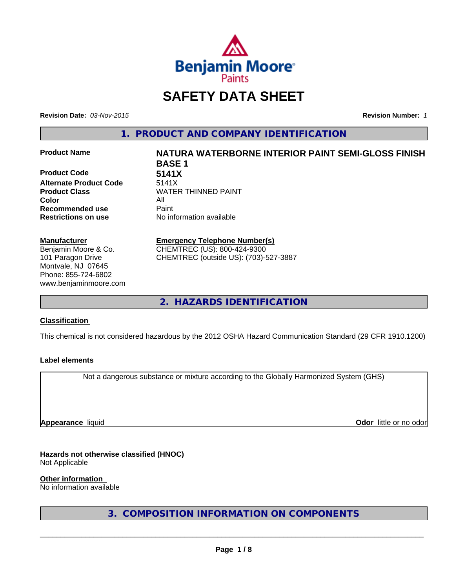

# **SAFETY DATA SHEET**

**Revision Date:** *03-Nov-2015* **Revision Number:** *1*

**1. PRODUCT AND COMPANY IDENTIFICATION**

**Product Code 5141X Alternate Product Code** 5141X **Color** All **Recommended use Paint** 

#### **Manufacturer**

Benjamin Moore & Co. 101 Paragon Drive Montvale, NJ 07645 Phone: 855-724-6802 www.benjaminmoore.com

# **Product Name NATURA WATERBORNE INTERIOR PAINT SEMI-GLOSS FINISH BASE 1 Product Class WATER THINNED PAINT**

**Restrictions on use** No information available

#### **Emergency Telephone Number(s)** CHEMTREC (US): 800-424-9300

CHEMTREC (outside US): (703)-527-3887

**2. HAZARDS IDENTIFICATION**

# **Classification**

This chemical is not considered hazardous by the 2012 OSHA Hazard Communication Standard (29 CFR 1910.1200)

# **Label elements**

Not a dangerous substance or mixture according to the Globally Harmonized System (GHS)

**Appearance** liquid

**Odor** little or no odor

# **Hazards not otherwise classified (HNOC)**

Not Applicable

#### **Other information**

No information available

**3. COMPOSITION INFORMATION ON COMPONENTS**

 $\overline{\phantom{a}}$  ,  $\overline{\phantom{a}}$  ,  $\overline{\phantom{a}}$  ,  $\overline{\phantom{a}}$  ,  $\overline{\phantom{a}}$  ,  $\overline{\phantom{a}}$  ,  $\overline{\phantom{a}}$  ,  $\overline{\phantom{a}}$  ,  $\overline{\phantom{a}}$  ,  $\overline{\phantom{a}}$  ,  $\overline{\phantom{a}}$  ,  $\overline{\phantom{a}}$  ,  $\overline{\phantom{a}}$  ,  $\overline{\phantom{a}}$  ,  $\overline{\phantom{a}}$  ,  $\overline{\phantom{a}}$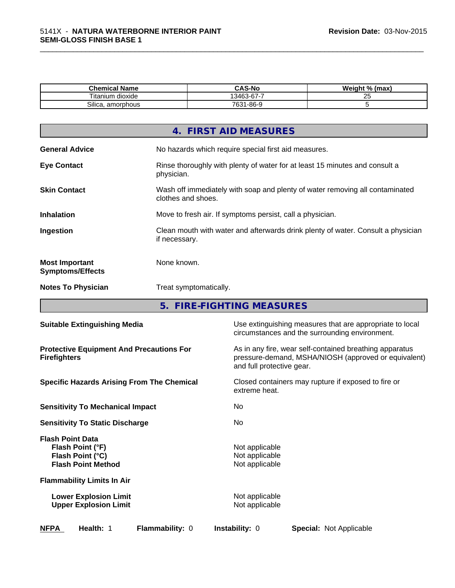| . .<br>Chemical Name  | <b>CAS-No</b>                                                 | Weight %<br>(max<br>7٥ |
|-----------------------|---------------------------------------------------------------|------------------------|
| --<br>Utanium dioxide | $\sim$<br>-<br>$\overline{\phantom{a}}$<br>.3462<br>-n<br>. . | $\sim$<br>Δu           |
| Silica.<br>amorphous  | 1-86-9<br>7631<br>υυ                                          |                        |

\_\_\_\_\_\_\_\_\_\_\_\_\_\_\_\_\_\_\_\_\_\_\_\_\_\_\_\_\_\_\_\_\_\_\_\_\_\_\_\_\_\_\_\_\_\_\_\_\_\_\_\_\_\_\_\_\_\_\_\_\_\_\_\_\_\_\_\_\_\_\_\_\_\_\_\_\_\_\_\_\_\_\_\_\_\_\_\_\_\_\_\_\_

|                                                  | 4. FIRST AID MEASURES                                                                              |
|--------------------------------------------------|----------------------------------------------------------------------------------------------------|
| <b>General Advice</b>                            | No hazards which require special first aid measures.                                               |
| <b>Eye Contact</b>                               | Rinse thoroughly with plenty of water for at least 15 minutes and consult a<br>physician.          |
| <b>Skin Contact</b>                              | Wash off immediately with soap and plenty of water removing all contaminated<br>clothes and shoes. |
| <b>Inhalation</b>                                | Move to fresh air. If symptoms persist, call a physician.                                          |
| Ingestion                                        | Clean mouth with water and afterwards drink plenty of water. Consult a physician<br>if necessary.  |
| <b>Most Important</b><br><b>Symptoms/Effects</b> | None known.                                                                                        |
| <b>Notes To Physician</b>                        | Treat symptomatically.                                                                             |
|                                                  |                                                                                                    |

**5. FIRE-FIGHTING MEASURES**

| <b>Suitable Extinguishing Media</b>                                                          | Use extinguishing measures that are appropriate to local<br>circumstances and the surrounding environment.                                   |
|----------------------------------------------------------------------------------------------|----------------------------------------------------------------------------------------------------------------------------------------------|
| <b>Protective Equipment And Precautions For</b><br><b>Firefighters</b>                       | As in any fire, wear self-contained breathing apparatus<br>pressure-demand, MSHA/NIOSH (approved or equivalent)<br>and full protective gear. |
| <b>Specific Hazards Arising From The Chemical</b>                                            | Closed containers may rupture if exposed to fire or<br>extreme heat.                                                                         |
| <b>Sensitivity To Mechanical Impact</b>                                                      | No                                                                                                                                           |
| <b>Sensitivity To Static Discharge</b>                                                       | No                                                                                                                                           |
| <b>Flash Point Data</b><br>Flash Point (°F)<br>Flash Point (°C)<br><b>Flash Point Method</b> | Not applicable<br>Not applicable<br>Not applicable                                                                                           |
| <b>Flammability Limits In Air</b>                                                            |                                                                                                                                              |
| <b>Lower Explosion Limit</b><br><b>Upper Explosion Limit</b>                                 | Not applicable<br>Not applicable                                                                                                             |
| <b>NFPA</b><br>Health: 1<br>Flammability: 0                                                  | <b>Instability: 0</b><br><b>Special: Not Applicable</b>                                                                                      |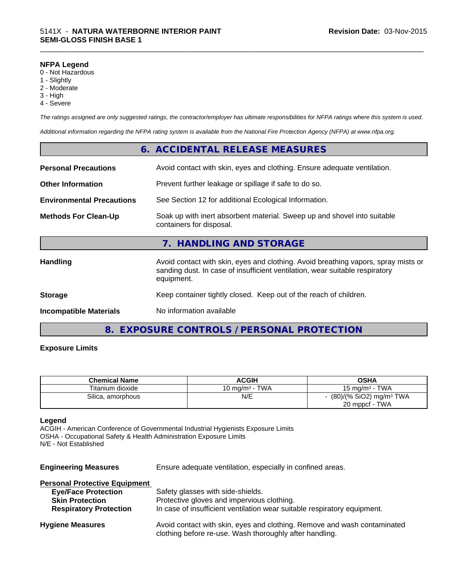#### **NFPA Legend**

- 0 Not Hazardous
- 1 Slightly
- 2 Moderate
- 3 High
- 4 Severe

*The ratings assigned are only suggested ratings, the contractor/employer has ultimate responsibilities for NFPA ratings where this system is used.*

\_\_\_\_\_\_\_\_\_\_\_\_\_\_\_\_\_\_\_\_\_\_\_\_\_\_\_\_\_\_\_\_\_\_\_\_\_\_\_\_\_\_\_\_\_\_\_\_\_\_\_\_\_\_\_\_\_\_\_\_\_\_\_\_\_\_\_\_\_\_\_\_\_\_\_\_\_\_\_\_\_\_\_\_\_\_\_\_\_\_\_\_\_

*Additional information regarding the NFPA rating system is available from the National Fire Protection Agency (NFPA) at www.nfpa.org.*

|                                  | 6. ACCIDENTAL RELEASE MEASURES                                                                                                                                                   |
|----------------------------------|----------------------------------------------------------------------------------------------------------------------------------------------------------------------------------|
|                                  | Avoid contact with skin, eyes and clothing. Ensure adequate ventilation.                                                                                                         |
|                                  | Prevent further leakage or spillage if safe to do so.                                                                                                                            |
| <b>Environmental Precautions</b> | See Section 12 for additional Ecological Information.                                                                                                                            |
|                                  | Soak up with inert absorbent material. Sweep up and shovel into suitable<br>containers for disposal.                                                                             |
|                                  | 7. HANDLING AND STORAGE                                                                                                                                                          |
|                                  | Avoid contact with skin, eyes and clothing. Avoid breathing vapors, spray mists or<br>sanding dust. In case of insufficient ventilation, wear suitable respiratory<br>equipment. |
|                                  | Keep container tightly closed. Keep out of the reach of children.                                                                                                                |
|                                  | No information available                                                                                                                                                         |
|                                  |                                                                                                                                                                                  |

# **8. EXPOSURE CONTROLS / PERSONAL PROTECTION**

#### **Exposure Limits**

| <b>Chemical Name</b> | <b>ACGIH</b>       | OSHA                                  |
|----------------------|--------------------|---------------------------------------|
| Titanium dioxide     | 10 ma/m $^3$ - TWA | 15 mg/m <sup>3</sup> - TWA            |
| Silica, amorphous    | N/E                | $(80)/(%$ SiO2) mg/m <sup>3</sup> TWA |
|                      |                    | 20 mppcf - TWA                        |

#### **Legend**

ACGIH - American Conference of Governmental Industrial Hygienists Exposure Limits OSHA - Occupational Safety & Health Administration Exposure Limits N/E - Not Established

**Engineering Measures** Ensure adequate ventilation, especially in confined areas.

| <b>Personal Protective Equipment</b> |                                                                                                                                     |
|--------------------------------------|-------------------------------------------------------------------------------------------------------------------------------------|
| <b>Eye/Face Protection</b>           | Safety glasses with side-shields.                                                                                                   |
| <b>Skin Protection</b>               | Protective gloves and impervious clothing.                                                                                          |
| <b>Respiratory Protection</b>        | In case of insufficient ventilation wear suitable respiratory equipment.                                                            |
| <b>Hygiene Measures</b>              | Avoid contact with skin, eyes and clothing. Remove and wash contaminated<br>clothing before re-use. Wash thoroughly after handling. |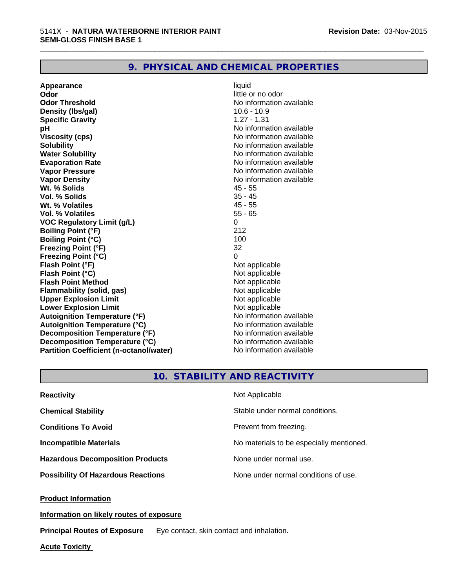# **9. PHYSICAL AND CHEMICAL PROPERTIES**

**Appearance** liquid **Odor** little or no odor **Odor Threshold** No information available **Density (Ibs/gal)** 10.6 - 10.9 **Specific Gravity** 1.27 - 1.31 **pH pH**  $\blacksquare$ **Viscosity (cps)** No information available **Solubility Note 2008 Note 2008 Note 2008 Note 2008 Note 2008 Note 2008 Note 2008 Note 2008 Note 2008 Note 2008 Note 2008 Note 2008 Note 2008 Note 2008 Note 2008 Note 2008 Note 2008 Note Water Solubility No information available No information available Evaporation Rate No information available No information available Vapor Pressure** No information available **Vapor Density Vapor Density No information available Wt. % Solids** 45 - 55 **Vol. % Solids** 35 - 45 **Wt. % Volatiles Vol. % Volatiles** 55 - 65 **VOC Regulatory Limit (g/L)** 0 **Boiling Point (°F)** 212 **Boiling Point (°C)** 100<br> **Preezing Point (°F)** 32 **Freezing Point (°F) Freezing Point (°C)** 0 **Flash Point (°F)**<br> **Flash Point (°C)**<br> **Flash Point (°C)**<br> **C Flash Point (°C)**<br> **Flash Point Method**<br> **Flash Point Method**<br> **Point Method**<br> **Point Method**<br> **Point Method Flash Point Method Flammability (solid, gas)** Not applicable<br> **Upper Explosion Limit** Not applicable<br>
Not applicable **Upper Explosion Limit Lower Explosion Limit Contract Accord Accord Accord Accord Accord Accord Accord Accord Accord Accord Accord Accord Accord Accord Accord Accord Accord Accord Accord Accord Accord Accord Accord Accord Accord Accord Accord Autoignition Temperature (°F)**<br> **Autoignition Temperature (°C)** No information available **Autoignition Temperature (°C) Decomposition Temperature (°F)** No information available **Decomposition Temperature (°C)** No information available<br> **Partition Coefficient (n-octanol/water)** No information available **Partition Coefficient (n-octanol/water)** 

\_\_\_\_\_\_\_\_\_\_\_\_\_\_\_\_\_\_\_\_\_\_\_\_\_\_\_\_\_\_\_\_\_\_\_\_\_\_\_\_\_\_\_\_\_\_\_\_\_\_\_\_\_\_\_\_\_\_\_\_\_\_\_\_\_\_\_\_\_\_\_\_\_\_\_\_\_\_\_\_\_\_\_\_\_\_\_\_\_\_\_\_\_

# **10. STABILITY AND REACTIVITY**

| <b>Reactivity</b>                         | Not Applicable                           |
|-------------------------------------------|------------------------------------------|
| <b>Chemical Stability</b>                 | Stable under normal conditions.          |
| <b>Conditions To Avoid</b>                | Prevent from freezing.                   |
| <b>Incompatible Materials</b>             | No materials to be especially mentioned. |
| <b>Hazardous Decomposition Products</b>   | None under normal use.                   |
| <b>Possibility Of Hazardous Reactions</b> | None under normal conditions of use.     |

**Product Information**

**Information on likely routes of exposure**

**Principal Routes of Exposure** Eye contact, skin contact and inhalation.

**Acute Toxicity**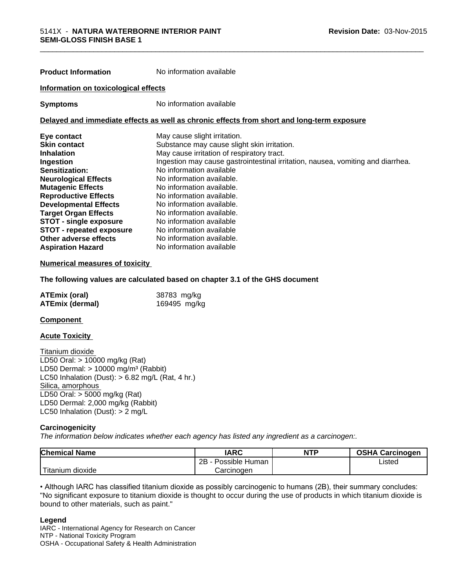| <b>Product Information</b>           | No information available                                                                   |
|--------------------------------------|--------------------------------------------------------------------------------------------|
| Information on toxicological effects |                                                                                            |
| <b>Symptoms</b>                      | No information available                                                                   |
|                                      | Delayed and immediate effects as well as chronic effects from short and long-term exposure |
| Eye contact                          | May cause slight irritation.                                                               |
| Skin contact                         | Substance may cause slight skin irritation.                                                |
| Inhalation                           | May cause irritation of respiratory tract.                                                 |
| Ingestion                            | Ingestion may cause gastrointestinal irritation, nausea, vomiting and diarrhea.            |
| <b>Sensitization:</b>                | No information available                                                                   |
| <b>Neurological Effects</b>          | No information available.                                                                  |
| <b>Mutagenic Effects</b>             | No information available.                                                                  |
| <b>Reproductive Effects</b>          | No information available.                                                                  |
| <b>Developmental Effects</b>         | No information available.                                                                  |
|                                      |                                                                                            |

**Target Organ Effects** No information available. **STOT - single exposure** No information available **STOT - repeated exposure** No information available **Other adverse effects** No information available. **Aspiration Hazard** No information available

#### **Numerical measures of toxicity**

#### **The following values are calculated based on chapter 3.1 of the GHS document**

| <b>ATEmix (oral)</b>   | 38783 mg/kg  |
|------------------------|--------------|
| <b>ATEmix (dermal)</b> | 169495 mg/kg |

#### **Component**

#### **Acute Toxicity**

Titanium dioxide LD50 Oral: > 10000 mg/kg (Rat) LD50 Dermal:  $> 10000$  mg/m<sup>3</sup> (Rabbit) LC50 Inhalation (Dust):  $> 6.82$  mg/L (Rat, 4 hr.) Silica, amorphous LD50 Oral: > 5000 mg/kg (Rat) LD50 Dermal: 2,000 mg/kg (Rabbit) LC50 Inhalation (Dust): > 2 mg/L

#### **Carcinogenicity**

*The information below indicateswhether each agency has listed any ingredient as a carcinogen:.*

| <b>Chemical Name</b>                    | <b>IARC</b>          | <b>NTP</b> | <b>OSHA Carcinogen</b> |  |
|-----------------------------------------|----------------------|------------|------------------------|--|
|                                         | 2B<br>Possible Human |            | ∟isted                 |  |
| $- - -$<br>m dioxide<br><b>Titanium</b> | Carcinogen           |            |                        |  |

• Although IARC has classified titanium dioxide as possibly carcinogenic to humans (2B), their summary concludes: "No significant exposure to titanium dioxide is thought to occur during the use of products in which titanium dioxide is bound to other materials, such as paint."

#### **Legend**

IARC - International Agency for Research on Cancer NTP - National Toxicity Program OSHA - Occupational Safety & Health Administration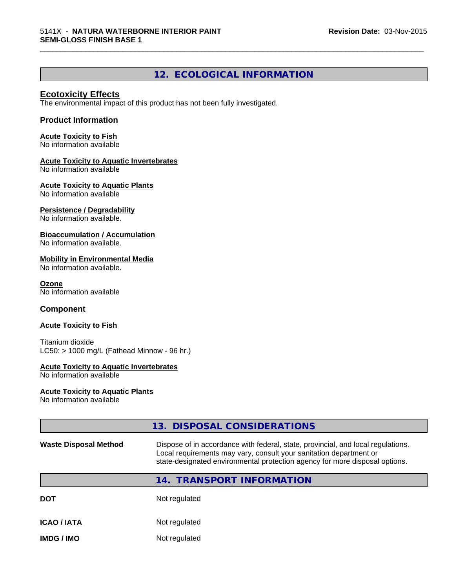# **12. ECOLOGICAL INFORMATION**

\_\_\_\_\_\_\_\_\_\_\_\_\_\_\_\_\_\_\_\_\_\_\_\_\_\_\_\_\_\_\_\_\_\_\_\_\_\_\_\_\_\_\_\_\_\_\_\_\_\_\_\_\_\_\_\_\_\_\_\_\_\_\_\_\_\_\_\_\_\_\_\_\_\_\_\_\_\_\_\_\_\_\_\_\_\_\_\_\_\_\_\_\_

# **Ecotoxicity Effects**

The environmental impact of this product has not been fully investigated.

# **Product Information**

**Acute Toxicity to Fish** No information available

#### **Acute Toxicity to Aquatic Invertebrates**

No information available

# **Acute Toxicity to Aquatic Plants**

No information available

#### **Persistence / Degradability**

No information available.

### **Bioaccumulation / Accumulation**

No information available.

### **Mobility in Environmental Media**

No information available.

**Ozone** No information available

# **Component**

#### **Acute Toxicity to Fish**

Titanium dioxide  $LC50:$  > 1000 mg/L (Fathead Minnow - 96 hr.)

#### **Acute Toxicity to Aquatic Invertebrates**

No information available

#### **Acute Toxicity to Aquatic Plants**

No information available

|                              | 13. DISPOSAL CONSIDERATIONS                                                                                                                                                                                                           |
|------------------------------|---------------------------------------------------------------------------------------------------------------------------------------------------------------------------------------------------------------------------------------|
| <b>Waste Disposal Method</b> | Dispose of in accordance with federal, state, provincial, and local regulations.<br>Local requirements may vary, consult your sanitation department or<br>state-designated environmental protection agency for more disposal options. |
|                              | 14. TRANSPORT INFORMATION                                                                                                                                                                                                             |
|                              |                                                                                                                                                                                                                                       |

| Not regulated<br><b>DOT</b> |
|-----------------------------|
|                             |

| <b>ICAO / IATA</b> | Not regulated |  |
|--------------------|---------------|--|
|--------------------|---------------|--|

**IMDG / IMO** Not regulated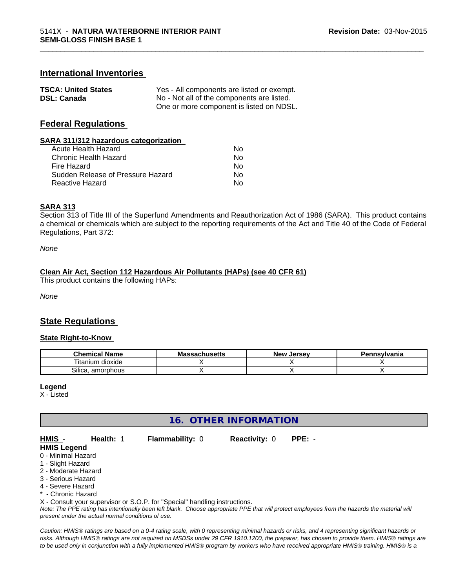# **International Inventories**

| <b>TSCA: United States</b> | Yes - All components are listed or exempt. |
|----------------------------|--------------------------------------------|
| <b>DSL: Canada</b>         | No - Not all of the components are listed. |
|                            | One or more component is listed on NDSL.   |

# **Federal Regulations**

#### **SARA 311/312 hazardous categorization**

| Acute Health Hazard               | Nο |
|-----------------------------------|----|
| Chronic Health Hazard             | Nο |
| Fire Hazard                       | Nο |
| Sudden Release of Pressure Hazard | Nο |
| Reactive Hazard                   | N٥ |

#### **SARA 313**

Section 313 of Title III of the Superfund Amendments and Reauthorization Act of 1986 (SARA). This product contains a chemical or chemicals which are subject to the reporting requirements of the Act and Title 40 of the Code of Federal Regulations, Part 372:

\_\_\_\_\_\_\_\_\_\_\_\_\_\_\_\_\_\_\_\_\_\_\_\_\_\_\_\_\_\_\_\_\_\_\_\_\_\_\_\_\_\_\_\_\_\_\_\_\_\_\_\_\_\_\_\_\_\_\_\_\_\_\_\_\_\_\_\_\_\_\_\_\_\_\_\_\_\_\_\_\_\_\_\_\_\_\_\_\_\_\_\_\_

*None*

#### **Clean Air Act,Section 112 Hazardous Air Pollutants (HAPs) (see 40 CFR 61)**

This product contains the following HAPs:

*None*

# **State Regulations**

#### **State Right-to-Know**

| .<br>Chemical<br><b>Name</b> | - -<br>cnusetts | Jersev<br><b>NAW</b> | vivania |
|------------------------------|-----------------|----------------------|---------|
| <br>dioxide<br>ı itanıum     |                 |                      |         |
| -<br>. amorphous<br>Silica.  |                 |                      |         |

#### **Legend**

X - Listed

# **16. OTHER INFORMATION**

| HMIS               | <b>Health: 1</b> | <b>Flammability: 0</b> | <b>Reactivity: 0</b> | PPE: - |
|--------------------|------------------|------------------------|----------------------|--------|
| <b>HMIS Legend</b> |                  |                        |                      |        |
| 0 - Minimal Hazard |                  |                        |                      |        |

- 1 Slight Hazard
- 2 Moderate Hazard
- 3 Serious Hazard
- 4 Severe Hazard

**- Chronic Hazard** 

X - Consult your supervisor or S.O.P. for "Special" handling instructions.

*Note: The PPE rating has intentionally been left blank. Choose appropriate PPE that will protect employees from the hazards the material will present under the actual normal conditions of use.*

*Caution: HMISÒ ratings are based on a 0-4 rating scale, with 0 representing minimal hazards or risks, and 4 representing significant hazards or risks. Although HMISÒ ratings are not required on MSDSs under 29 CFR 1910.1200, the preparer, has chosen to provide them. HMISÒ ratings are to be used only in conjunction with a fully implemented HMISÒ program by workers who have received appropriate HMISÒ training. HMISÒ is a*